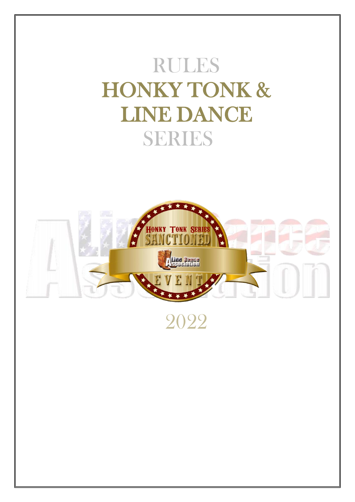# RULES HONKY TONK & LINE DANCE SERIES



2022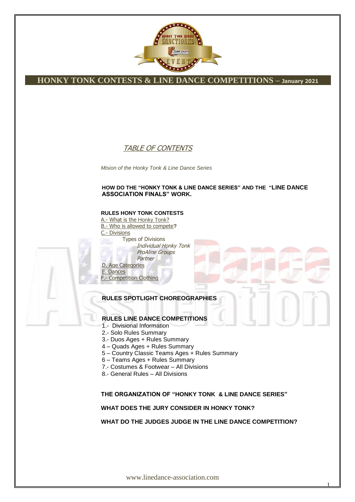

### TABLE OF CONTENTS

*Mision of the Honky Tonk & Line Dance Series*

#### **HOW DO THE "HONKY TONK & LINE DANCE SERIES" AND THE "LINE DANCE ASSOCIATION FINALS" WORK.**

#### **RULES HONY TONK CONTESTS**

A.- What is the Honky Tonk? B.- Who is allowed to compete**?** - Divisions Types of Divisions Individual Honky Tonk ProAline Groups Partner D. Age Categories

E. Dances F.- Competition Clothing

### **RULES SPOTLIGHT CHOREOGRAPHIES**

### **RULES LINE DANCE COMPETITIONS**

- 1.- Divisional Information
- 2.- Solo Rules Summary
- 3.- Duos Ages + Rules Summary
- 4 Quads Ages + Rules Summary
- 5 Country Classic Teams Ages + Rules Summary
- 6 Teams Ages + Rules Summary
- 7.- Costumes & Footwear All Divisions
- 8.- General Rules All Divisions

#### **THE ORGANIZATION OF "HONKY TONK & LINE DANCE SERIES"**

**WHAT DOES THE JURY CONSIDER IN HONKY TONK?**

**WHAT DO THE JUDGES JUDGE IN THE LINE DANCE COMPETITION?**

1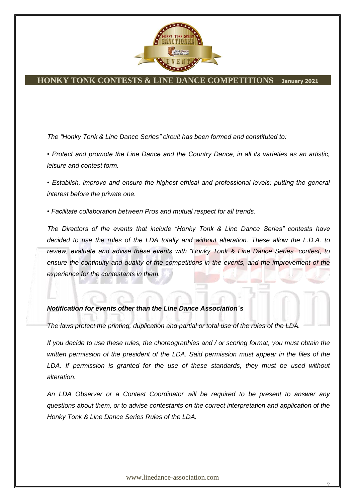

*The "Honky Tonk & Line Dance Series" circuit has been formed and constituted to:*

*• Protect and promote the Line Dance and the Country Dance, in all its varieties as an artistic, leisure and contest form.*

• Establish, improve and ensure the highest ethical and professional levels; putting the general *interest before the private one.*

*• Facilitate collaboration between Pros and mutual respect for all trends.*

*The Directors of the events that include "Honky Tonk & Line Dance Series" contests have decided to use the rules of the LDA totally and without alteration. These allow the L.D.A. to review, evaluate and advise these events with "Honky Tonk & Line Dance Series" contest, to*  ensure the continuity and quality of the competitions in the events, and the improvement of the *experience for the contestants in them.*

#### *Notification for events other than the Line Dance Association´s*

*The laws protect the printing, duplication and partial or total use of the rules of the LDA.*

*If you decide to use these rules, the choreographies and / or scoring format, you must obtain the written permission of the president of the LDA. Said permission must appear in the files of the*  LDA. If permission is granted for the use of these standards, they must be used without *alteration.*

*An LDA Observer or a Contest Coordinator will be required to be present to answer any questions about them, or to advise contestants on the correct interpretation and application of the Honky Tonk & Line Dance Series Rules of the LDA.*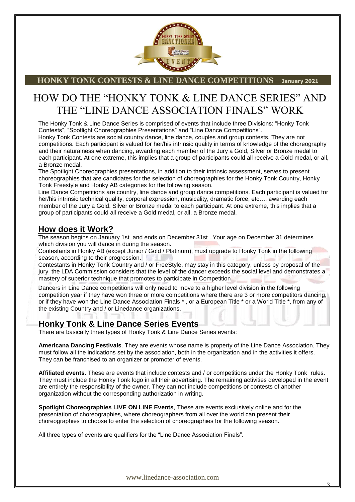

# HOW DO THE "HONKY TONK & LINE DANCE SERIES" AND THE "LINE DANCE ASSOCIATION FINALS" WORK

The Honky Tonk & Line Dance Series is comprised of events that include three Divisions: "Honky Tonk Contests", "Spotlight Choreographies Presentations" and "Line Dance Competitions".

Honky Tonk Contests are social country dance, line dance, couples and group contests. They are not competitions. Each participant is valued for her/his intrinsic quality in terms of knowledge of the choreography and their naturalness when dancing, awarding each member of the Jury a Gold, Silver or Bronze medal to each participant. At one extreme, this implies that a group of participants could all receive a Gold medal, or all, a Bronze medal.

The Spotlight Choreographies presentations, in addition to their intrinsic assessment, serves to present choreographies that are candidates for the selection of choreographies for the Honky Tonk Country, Honky Tonk Freestyle and Honky AB categories for the following season.

Line Dance Competitions are country, line dance and group dance competitions. Each participant is valued for her/his intrinsic technical quality, corporal expression, musicality, dramatic force, etc…, awarding each member of the Jury a Gold, Silver or Bronze medal to each participant. At one extreme, this implies that a group of participants could all receive a Gold medal, or all, a Bronze medal.

### **How does it Work?**

The season begins on January 1st and ends on December 31st . Your age on December 31 determines which division you will dance in during the season.

Contestants in Honky AB (except Junior / Gold / Platinum), must upgrade to Honky Tonk in the following season, according to their progression.

Contestants in Honky Tonk Country and / or FreeStyle, may stay in this category, unless by proposal of the jury, the LDA Commission considers that the level of the dancer exceeds the social level and demonstrates a mastery of superior technique that promotes to participate in Competition

Dancers in Line Dance competitions will only need to move to a higher level division in the following competition year if they have won three or more competitions where there are 3 or more competitors dancing, or if they have won the Line Dance Association Finals \* , or a European Title \* or a World Title \*, from any of the existing Country and / or Linedance organizations.

### **Honky Tonk & Line Dance Series Events**

There are basically three types of Honky Tonk & Line Dance Series events:

**Americana Dancing Festivals**. They are events whose name is property of the Line Dance Association. They must follow all the indications set by the association, both in the organization and in the activities it offers. They can be franchised to an organizer or promoter of events.

**Affiliated events.** These are events that include contests and / or competitions under the Honky Tonk rules. They must include the Honky Tonk logo in all their advertising. The remaining activities developed in the event are entirely the responsibility of the owner. They can not include competitions or contests of another organization without the corresponding authorization in writing.

**Spotlight Choreographies LIVE ON LINE Events**, These are events exclusively online and for the presentation of choreographies, where choreographers from all over the world can present their choreographies to choose to enter the selection of choreographies for the following season.

All three types of events are qualifiers for the "Line Dance Association Finals".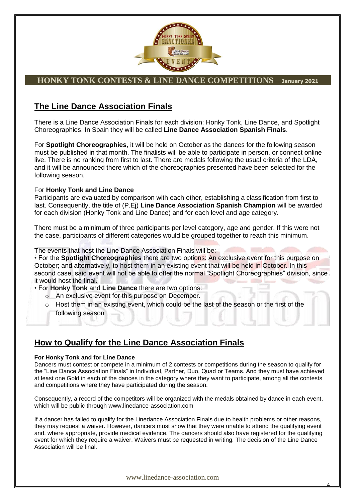

### **The Line Dance Association Finals**

There is a Line Dance Association Finals for each division: Honky Tonk, Line Dance, and Spotlight Choreographies. In Spain they will be called **Line Dance Association Spanish Finals**.

For **Spotlight Choreographies**, it will be held on October as the dances for the following season must be published in that month. The finalists will be able to participate in person, or connect online live. There is no ranking from first to last. There are medals following the usual criteria of the LDA, and it will be announced there which of the choreographies presented have been selected for the following season.

### For **Honky Tonk and Line Dance**

Participants are evaluated by comparison with each other, establishing a classification from first to last. Consequently, the title of (P.Ej) **Line Dance Association Spanish Champion** will be awarded for each division (Honky Tonk and Line Dance) and for each level and age category.

There must be a minimum of three participants per level category, age and gender. If this were not the case, participants of different categories would be grouped together to reach this minimum.

The events that host the Line Dance Association Finals will be:

• For the **Spotlight Choreographies** there are two options: An exclusive event for this purpose on October; and alternatively, to host them in an existing event that will be held in October. In this second case, said event will not be able to offer the normal "Spotlight Choreographies" division, since it would host the final.

- For **Honky Tonk** and **Line Dance** there are two options:
	- o An exclusive event for this purpose on December.
	- o Host them in an existing event, which could be the last of the season or the first of the following season

### **How to Qualify for the Line Dance Association Finals**

#### **For Honky Tonk and for Line Dance**

Dancers must contest or compete in a minimum of 2 contests or competitions during the season to qualify for the "Line Dance Association Finals" in Individual, Partner, Duo, Quad or Teams. And they must have achieved at least one Gold in each of the dances in the category where they want to participate, among all the contests and competitions where they have participated during the season.

Consequently, a record of the competitors will be organized with the medals obtained by dance in each event, which will be public through www.linedance-association.com

If a dancer has failed to qualify for the Linedance Association Finals due to health problems or other reasons, they may request a waiver. However, dancers must show that they were unable to attend the qualifying event and, where appropriate, provide medical evidence. The dancers should also have registered for the qualifying event for which they require a waiver. Waivers must be requested in writing. The decision of the Line Dance Association will be final.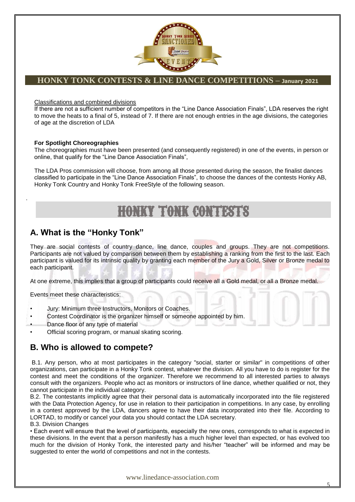

Classifications and combined divisions

If there are not a sufficient number of competitors in the "Line Dance Association Finals", LDA reserves the right to move the heats to a final of 5, instead of 7. If there are not enough entries in the age divisions, the categories of age at the discretion of LDA

#### **For Spotlight Choreographies**

.

The choreographies must have been presented (and consequently registered) in one of the events, in person or online, that qualify for the "Line Dance Association Finals",

The LDA Pros commission will choose, from among all those presented during the season, the finalist dances classified to participate in the "Line Dance Association Finals", to choose the dances of the contests Honky AB, Honky Tonk Country and Honky Tonk FreeStyle of the following season.

# **HONKY TONK CONTEST**

### **A. What is the "Honky Tonk"**

They are social contests of country dance, line dance, couples and groups. They are not competitions. Participants are not valued by comparison between them by establishing a ranking from the first to the last. Each participant is valued for its intrinsic quality by granting each member of the Jury a Gold, Silver or Bronze medal to each participant.

At one extreme, this implies that a group of participants could receive all a Gold medal, or all a Bronze medal.

Events meet these characteristics:

- Jury: Minimum three Instructors, Monitors or Coaches.
- Contest Coordinator is the organizer himself or someone appointed by him.
- Dance floor of any type of material
- Official scoring program, or manual skating scoring.

### **B. Who is allowed to compete?**

B.1. Any person, who at most participates in the category "social, starter or similar" in competitions of other organizations, can participate in a Honky Tonk contest, whatever the division. All you have to do is register for the contest and meet the conditions of the organizer. Therefore we recommend to all interested parties to always consult with the organizers. People who act as monitors or instructors of line dance, whether qualified or not, they cannot participate in the individual category.

B.2. The contestants implicitly agree that their personal data is automatically incorporated into the file registered with the Data Protection Agency, for use in relation to their participation in competitions. In any case, by enrolling in a contest approved by the LDA, dancers agree to have their data incorporated into their file. According to LORTAD, to modify or cancel your data you should contact the LDA secretary.

B.3. Division Changes

• Each event will ensure that the level of participants, especially the new ones, corresponds to what is expected in these divisions. In the event that a person manifestly has a much higher level than expected, or has evolved too much for the division of Honky Tonk, the interested party and his/her "teacher" will be informed and may be suggested to enter the world of competitions and not in the contests.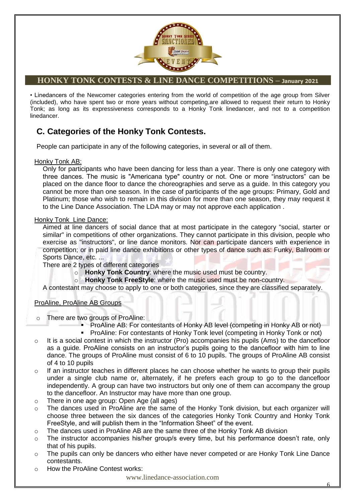

• Linedancers of the Newcomer categories entering from the world of competition of the age group from Silver (included), who have spent two or more years without competing,are allowed to request their return to Honky Tonk; as long as its expressiveness corresponds to a Honky Tonk linedancer, and not to a competition linedancer.

### **C. Categories of the Honky Tonk Contests.**

People can participate in any of the following categories, in several or all of them.

#### Honky Tonk AB:

Only for participants who have been dancing for less than a year. There is only one category with three dances. The music is "Americana type" country or not. One or more "instructors" can be placed on the dance floor to dance the choreographies and serve as a guide. In this category you cannot be more than one season. In the case of participants of the age groups: Primary, Gold and Platinum; those who wish to remain in this division for more than one season, they may request it to the Line Dance Association. The LDA may or may not approve each application .

### Honky Tonk Line Dance:

Aimed at line dancers of social dance that at most participate in the category "social, starter or similar" in competitions of other organizations. They cannot participate in this division, people who exercise as "instructors", or line dance monitors. Nor can participate dancers with experience in competition; or in paid line dance exhibitions or other types of dance such as: Funky, Ballroom or Sports Dance, etc. ...

There are 2 types of different categories

- o **Honky Tonk Country**: where the music used must be country.
- o **Honky Tonk FreeStyle**: where the music used must be non-country.

A contestant may choose to apply to one or both categories, since they are classified separately.

### ProAline, ProAline AB Groups

- o There are two groups of ProAline:
	- ProAline AB: For contestants of Honky AB level (competing in Honky AB or not)
	- **ProAline: For contestants of Honky Tonk level (competing in Honky Tonk or not)**
- $\circ$  It is a social contest in which the instructor (Pro) accompanies his pupils (Ams) to the dancefloor as a quide. ProAline consists on an instructor's pupils going to the dancefloor with him to line dance. The groups of ProAline must consist of 6 to 10 pupils. The groups of ProAline AB consist of 4 to 10 pupils
- $\circ$  If an instructor teaches in different places he can choose whether he wants to group their pupils under a single club name or, alternately, if he prefers each group to go to the dancefloor independently. A group can have two instructors but only one of them can accompany the group to the dancefloor. An Instructor may have more than one group.
- o There in one age group: Open Age (all ages)
- $\circ$  The dances used in ProAline are the same of the Honky Tonk division, but each organizer will choose three between the six dances of the categories Honky Tonk Country and Honky Tonk FreeStyle, and will publish them in the "Information Sheet" of the event.
- $\circ$  The dances used in ProAline AB are the same three of the Honky Tonk AB division
- $\circ$  The instructor accompanies his/her group/s every time, but his performance doesn't rate, only that of his pupils.
- $\circ$  The pupils can only be dancers who either have never competed or are Honky Tonk Line Dance contestants.
- o How the ProAline Contest works: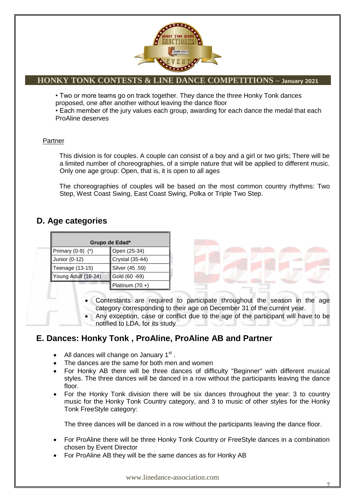

• Two or more teams go on track together. They dance the three Honky Tonk dances proposed, one after another without leaving the dance floor

• Each member of the jury values each group, awarding for each dance the medal that each ProAline deserves

### Partner

This division is for couples. A couple can consist of a boy and a girl or two girls; There will be a limited number of choreographies, of a simple nature that will be applied to different music. Only one age group: Open, that is, it is open to all ages

The choreographies of couples will be based on the most common country rhythms: Two Step, West Coast Swing, East Coast Swing, Polka or Triple Two Step.

### **D. Age categories**

| Grupo de Edad*        |                   |  |
|-----------------------|-------------------|--|
| Primary $(0-9)$ $(*)$ | Open (25-34)      |  |
| Junior (0-12)         | Crystal (35-44)   |  |
| Teenage (13-15)       | Silver (45 .59)   |  |
| Young Adult (16-24)   | Gold (60 -69)     |  |
|                       | Platinum $(70 +)$ |  |

 Contestants are required to participate throughout the season in the age category corresponding to their age on December 31 of the current year.

 Any exception, case or conflict due to the age of the participant will have to be notified to LDA, for its study

### **E. Dances: Honky Tonk , ProAline, ProAline AB and Partner**

- All dances will change on January  $1<sup>st</sup>$ .
- The dances are the same for both men and women
- For Honky AB there will be three dances of difficulty "Beginner" with different musical styles. The three dances will be danced in a row without the participants leaving the dance floor.
- For the Honky Tonk division there will be six dances throughout the year: 3 to country music for the Honky Tonk Country category, and 3 to music of other styles for the Honky Tonk FreeStyle category:

The three dances will be danced in a row without the participants leaving the dance floor.

- For ProAline there will be three Honky Tonk Country or FreeStyle dances in a combination chosen by Event Director
- For ProAline AB they will be the same dances as for Honky AB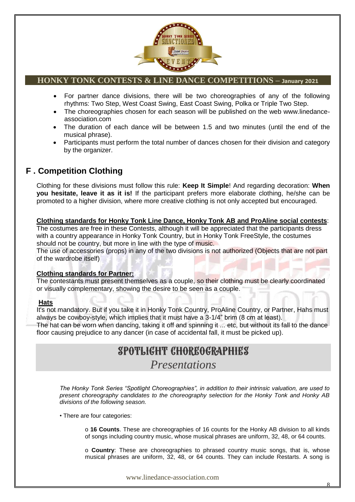

- For partner dance divisions, there will be two choreographies of any of the following rhythms: Two Step, West Coast Swing, East Coast Swing, Polka or Triple Two Step.
- The choreographies chosen for each season will be published on the web www.linedanceassociation.com
- The duration of each dance will be between 1.5 and two minutes (until the end of the musical phrase).
- Participants must perform the total number of dances chosen for their division and category by the organizer.

### **F . Competition Clothing**

Clothing for these divisions must follow this rule: **Keep It Simple**! And regarding decoration: **When you hesitate, leave it as it is!** If the participant prefers more elaborate clothing, he/she can be promoted to a higher division, where more creative clothing is not only accepted but encouraged.

### **Clothing standards for Honky Tonk Line Dance, Honky Tonk AB and ProAline social contests**:

The costumes are free in these Contests, although it will be appreciated that the participants dress with a country appearance in Honky Tonk Country, but in Honky Tonk FreeStyle, the costumes should not be country, but more in line with the type of music.

The use of accessories (props) in any of the two divisions is not authorized (Objects that are not part of the wardrobe itself)

### **Clothing standards for Partner:**

The contestants must present themselves as a couple, so their clothing must be clearly coordinated or visually complementary, showing the desire to be seen as a couple.

### **Hats**

It's not mandatory. But if you take it in Honky Tonk Country, ProAline Country, or Partner, Hahs must always be cowboy-style, which implies that it must have a 3-1/4" brim (8 cm at least).

The hat can be worn when dancing, taking it off and spinning it ... etc, but without its fall to the dance floor causing prejudice to any dancer (in case of accidental fall, it must be picked up).

## SPOTLIGHT CHOREOGRAPHIES

### *Presentations*

*The Honky Tonk Series "Spotlight Choreographies", in addition to their intrinsic valuation, are used to present choreography candidates to the choreography selection for the Honky Tonk and Honky AB divisions of the following season.*

• There are four categories:

o **16 Counts**. These are choreographies of 16 counts for the Honky AB division to all kinds of songs including country music, whose musical phrases are uniform, 32, 48, or 64 counts.

o **Country**: These are choreographies to phrased country music songs, that is, whose musical phrases are uniform, 32, 48, or 64 counts. They can include Restarts. A song is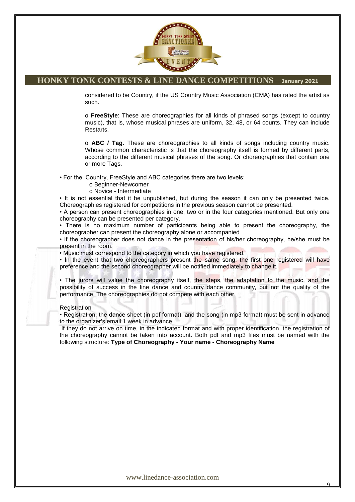

considered to be Country, if the US Country Music Association (CMA) has rated the artist as such.

o **FreeStyle**: These are choreographies for all kinds of phrased songs (except to country music), that is, whose musical phrases are uniform, 32, 48, or 64 counts. They can include Restarts.

o **ABC / Tag**. These are choreographies to all kinds of songs including country music. Whose common characteristic is that the choreography itself is formed by different parts, according to the different musical phrases of the song. Or choreographies that contain one or more Tags.

• For the Country, FreeStyle and ABC categories there are two levels:

#### o Beginner-Newcomer

#### o Novice - Intermediate

• It is not essential that it be unpublished, but during the season it can only be presented twice. Choreographies registered for competitions in the previous season cannot be presented.

• A person can present choreographies in one, two or in the four categories mentioned. But only one choreography can be presented per category.

• There is no maximum number of participants being able to present the choreography, the choreographer can present the choreography alone or accompanied

• If the choreographer does not dance in the presentation of his/her choreography, he/she must be present in the room.

• Music must correspond to the category in which you have registered.

• In the event that two choreographers present the same song, the first one registered will have preference and the second choreographer will be notified immediately to change it.

• The jurors will value the choreography itself, the steps, the adaptation to the music, and the possibility of success in the line dance and country dance community, but not the quality of the performance. The choreographies do not compete with each other

#### **Registration**

• Registration, the dance sheet (in pdf format), and the song (in mp3 format) must be sent in advance to the organizer's email 1 week in advance

If they do not arrive on time, in the indicated format and with proper identification, the registration of the choreography cannot be taken into account. Both pdf and mp3 files must be named with the following structure: **Type of Choreography - Your name - Choreography Name**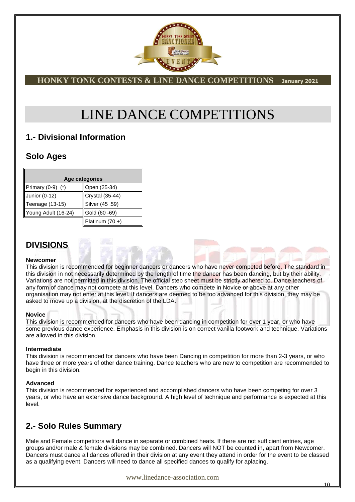

# LINE DANCE COMPETITIONS

### **1.- Divisional Information**

### **Solo Ages**

| Age categories        |                 |
|-----------------------|-----------------|
| Primary $(0-9)$ $(*)$ | Open (25-34)    |
| Junior (0-12)         | Crystal (35-44) |
| Teenage (13-15)       | Silver (45 .59) |
| Young Adult (16-24)   | Gold (60 -69)   |
|                       | Platinum (70 +) |

### **DIVISIONS**

#### **Newcomer**

This division is recommended for beginner dancers or dancers who have never competed before. The standard in this division in not necessarily determined by the length of time the dancer has been dancing, but by their ability. Variations are not permitted in this division. The official step sheet must be strictly adhered to. Dance teachers of any form of dance may not compete at this level. Dancers who compete in Novice or above at any other organisation may not enter at this level. If dancers are deemed to be too advanced for this division, they may be asked to move up a division, at the discretion of the LDA.

#### **Novice**

This division is recommended for dancers who have been dancing in competition for over 1 year, or who have some previous dance experience. Emphasis in this division is on correct vanilla footwork and technique. Variations are allowed in this division.

#### **Intermediate**

This division is recommended for dancers who have been Dancing in competition for more than 2-3 years, or who have three or more years of other dance training. Dance teachers who are new to competition are recommended to begin in this division.

#### **Advanced**

This division is recommended for experienced and accomplished dancers who have been competing for over 3 years, or who have an extensive dance background. A high level of technique and performance is expected at this level.

### **2.- Solo Rules Summary**

Male and Female competitors will dance in separate or combined heats. If there are not sufficient entries, age groups and/or male & female divisions may be combined. Dancers will NOT be counted in, apart from Newcomer. Dancers must dance all dances offered in their division at any event they attend in order for the event to be classed as a qualifying event. Dancers will need to dance all specified dances to qualify for aplacing.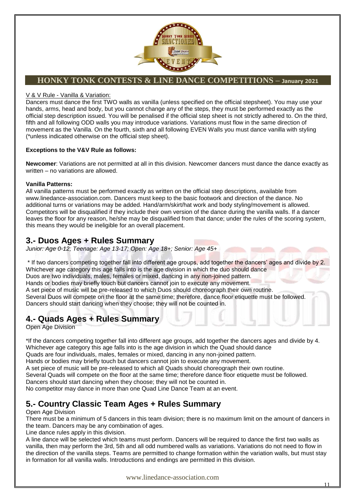

#### V & V Rule - Vanilla & Variation:

Dancers must dance the first TWO walls as vanilla (unless specified on the official stepsheet). You may use your hands, arms, head and body, but you cannot change any of the steps, they must be performed exactly as the official step description issued. You will be penalised if the official step sheet is not strictly adhered to. On the third, fifth and all following ODD walls you may introduce variations. Variations must flow in the same direction of movement as the Vanilla. On the fourth, sixth and all following EVEN Walls you must dance vanilla with styling (\*unless indicated otherwise on the official step sheet).

#### **Exceptions to the V&V Rule as follows:**

**Newcomer**: Variations are not permitted at all in this division. Newcomer dancers must dance the dance exactly as written – no variations are allowed.

#### **Vanilla Patterns:**

All vanilla patterns must be performed exactly as written on the official step descriptions, available from www.linedance-association.com. Dancers must keep to the basic footwork and direction of the dance. No additional turns or variations may be added. Hand/arm/skirt/hat work and body styling/movement is allowed. Competitors will be disqualified if they include their own version of the dance during the vanilla walls. If a dancer leaves the floor for any reason, he/she may be disqualified from that dance; under the rules of the scoring system, this means they would be ineligible for an overall placement.

### **3.- Duos Ages + Rules Summary**

*Junior: Age 0-12; Teenage: Age 13-17; Open: Age 18+; Senior: Age 45+*

\* If two dancers competing together fall into different age groups, add together the dancers" ages and divide by 2. Whichever age category this age falls into is the age division in which the duo should dance Duos are two individuals, males, females or mixed, dancing in any non-joined pattern. Hands or bodies may briefly touch but dancers cannot join to execute any movement. A set piece of music will be pre-released to which Duos should choreograph their own routine. Several Duos will compete on the floor at the same time; therefore, dance floor etiquette must be followed. Dancers should start dancing when they choose; they will not be counted in.

### **4.- Quads Ages + Rules Summary**

Open Age Division

\*If the dancers competing together fall into different age groups, add together the dancers ages and divide by 4. Whichever age category this age falls into is the age division in which the Quad should dance

Quads are four individuals, males, females or mixed, dancing in any non-joined pattern.

Hands or bodies may briefly touch but dancers cannot join to execute any movement.

A set piece of music will be pre-released to which all Quads should choreograph their own routine.

Several Quads will compete on the floor at the same time; therefore dance floor etiquette must be followed.

Dancers should start dancing when they choose; they will not be counted in.

No competitor may dance in more than one Quad Line Dance Team at an event.

### **5.- Country Classic Team Ages + Rules Summary**

#### Open Age Division

There must be a minimum of 5 dancers in this team division; there is no maximum limit on the amount of dancers in the team. Dancers may be any combination of ages.

Line dance rules apply in this division.

A line dance will be selected which teams must perform. Dancers will be required to dance the first two walls as vanilla, then may perform the 3rd, 5th and all odd numbered walls as variations. Variations do not need to flow in the direction of the vanilla steps. Teams are permitted to change formation within the variation walls, but must stay in formation for all vanilla walls. Introductions and endings are permitted in this division.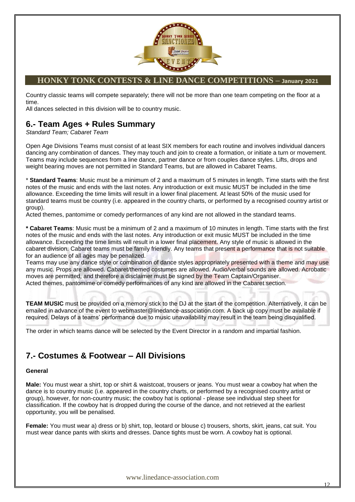

Country classic teams will compete separately; there will not be more than one team competing on the floor at a time.

All dances selected in this division will be to country music.

### **6.- Team Ages + Rules Summary**

*Standard Team; Cabaret Team*

Open Age Divisions Teams must consist of at least SIX members for each routine and involves individual dancers dancing any combination of dances. They may touch and join to create a formation, or initiate a turn or movement. Teams may include sequences from a line dance, partner dance or from couples dance styles. Lifts, drops and weight bearing moves are not permitted in Standard Teams, but are allowed in Cabaret Teams.

\* **Standard Teams**: Music must be a minimum of 2 and a maximum of 5 minutes in length. Time starts with the first notes of the music and ends with the last notes. Any introduction or exit music MUST be included in the time allowance. Exceeding the time limits will result in a lower final placement. At least 50% of the music used for standard teams must be country (i.e. appeared in the country charts, or performed by a recognised country artist or group).

Acted themes, pantomime or comedy performances of any kind are not allowed in the standard teams.

**\* Cabaret Teams**: Music must be a minimum of 2 and a maximum of 10 minutes in length. Time starts with the first notes of the music and ends with the last notes. Any introduction or exit music MUST be included in the time allowance. Exceeding the time limits will result in a lower final placement. Any style of music is allowed in the cabaret division. Cabaret teams must be family friendly. Any teams that present a performance that is not suitable for an audience of all ages may be penalized.

Teams may use any dance style or combination of dance styles appropriately presented with a theme and may use any music. Props are allowed. Cabaret/themed costumes are allowed. Audio/verbal sounds are allowed. Acrobatic moves are permitted, and therefore a disclaimer must be signed by the Team Captain/Organiser. Acted themes, pantomime or comedy performances of any kind are allowed in the Cabaret section.

**TEAM MUSIC** must be provided on a memory stick to the DJ at the start of the competition. Alternatively, it can be emailed in advance of the event to webmaster@linedance-association.com. A back up copy must be available if required. Delays of a teams" performance due to music unavailability may result in the team being disqualified.

The order in which teams dance will be selected by the Event Director in a random and impartial fashion.

### **7.- Costumes & Footwear – All Divisions**

#### **General**

**Male:** You must wear a shirt, top or shirt & waistcoat, trousers or jeans. You must wear a cowboy hat when the dance is to country music (i.e. appeared in the country charts, or performed by a recognised country artist or group), however, for non-country music; the cowboy hat is optional - please see individual step sheet for classification. If the cowboy hat is dropped during the course of the dance, and not retrieved at the earliest opportunity, you will be penalised.

**Female:** You must wear a) dress or b) shirt, top, leotard or blouse c) trousers, shorts, skirt, jeans, cat suit. You must wear dance pants with skirts and dresses. Dance tights must be worn. A cowboy hat is optional.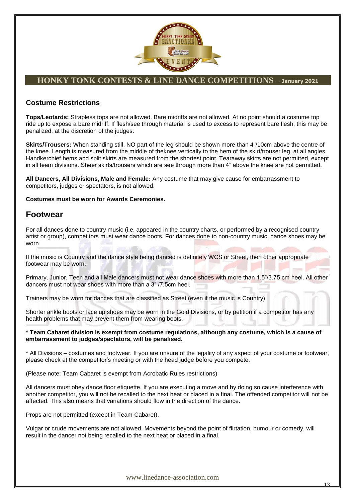

### **Costume Restrictions**

**Tops/Leotards:** Strapless tops are not allowed. Bare midriffs are not allowed. At no point should a costume top ride up to expose a bare midriff. If flesh/see through material is used to excess to represent bare flesh, this may be penalized, at the discretion of the judges.

**Skirts/Trousers:** When standing still, NO part of the leg should be shown more than 4"/10cm above the centre of the knee. Length is measured from the middle of theknee vertically to the hem of the skirt/trouser leg, at all angles. Handkerchief hems and split skirts are measured from the shortest point. Tearaway skirts are not permitted, except in all team divisions. Sheer skirts/trousers which are see through more than 4" above the knee are not permitted.

**All Dancers, All Divisions, Male and Female:** Any costume that may give cause for embarrassment to competitors, judges or spectators, is not allowed.

**Costumes must be worn for Awards Ceremonies.**

### **Footwear**

For all dances done to country music (i.e. appeared in the country charts, or performed by a recognised country artist or group), competitors must wear dance boots. For dances done to non-country music, dance shoes may be worn.

If the music is Country and the dance style being danced is definitely WCS or Street, then other appropriate footwear may be worn.

Primary, Junior, Teen and all Male dancers must not wear dance shoes with more than 1.5"/3.75 cm heel. All other dancers must not wear shoes with more than a 3" /7.5cm heel.

Trainers may be worn for dances that are classified as Street (even if the music is Country)

Shorter ankle boots or lace up shoes may be worn in the Gold Divisions, or by petition if a competitor has any health problems that may prevent them from wearing boots.

**\* Team Cabaret division is exempt from costume regulations, although any costume, which is a cause of embarrassment to judges/spectators, will be penalised.**

\* All Divisions – costumes and footwear. If you are unsure of the legality of any aspect of your costume or footwear, please check at the competitor"s meeting or with the head judge before you compete.

(Please note: Team Cabaret is exempt from Acrobatic Rules restrictions)

All dancers must obey dance floor etiquette. If you are executing a move and by doing so cause interference with another competitor, you will not be recalled to the next heat or placed in a final. The offended competitor will not be affected. This also means that variations should flow in the direction of the dance.

Props are not permitted (except in Team Cabaret).

Vulgar or crude movements are not allowed. Movements beyond the point of flirtation, humour or comedy, will result in the dancer not being recalled to the next heat or placed in a final.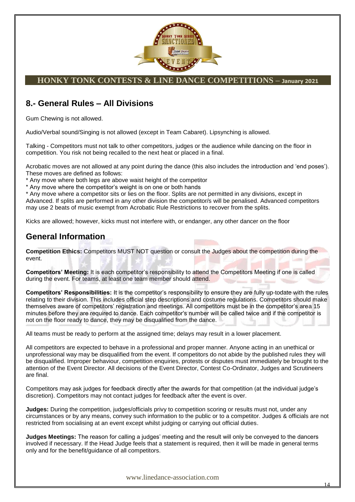

### **8.- General Rules – All Divisions**

Gum Chewing is not allowed.

Audio/Verbal sound/Singing is not allowed (except in Team Cabaret). Lipsynching is allowed.

Talking - Competitors must not talk to other competitors, judges or the audience while dancing on the floor in competition. You risk not being recalled to the next heat or placed in a final.

Acrobatic moves are not allowed at any point during the dance (this also includes the introduction and "end poses"). These moves are defined as follows:

\* Any move where both legs are above waist height of the competitor

\* Any move where the competitor"s weight is on one or both hands

\* Any move where a competitor sits or lies on the floor. Splits are not permitted in any divisions, except in Advanced. If splits are performed in any other division the competitor/s will be penalised. Advanced competitors may use 2 beats of music exempt from Acrobatic Rule Restrictions to recover from the splits.

Kicks are allowed; however, kicks must not interfere with, or endanger, any other dancer on the floor

### **General Information**

**Competition Ethics:** Competitors MUST NOT question or consult the Judges about the competition during the event.

**Competitors' Meeting:** It is each competitor"s responsibility to attend the Competitors Meeting if one is called during the event. For teams, at least one team member should attend.

**Competitors' Responsibilities:** It is the competitor"s responsibility to ensure they are fully up-todate with the rules relating to their division. This includes official step descriptions and costume regulations. Competitors should make themselves aware of competitors" registration and meetings. All competitors must be in the competitor"s area 15 minutes before they are required to dance. Each competitor"s number will be called twice and if the competitor is not on the floor ready to dance, they may be disqualified from the dance.

All teams must be ready to perform at the assigned time; delays may result in a lower placement.

All competitors are expected to behave in a professional and proper manner. Anyone acting in an unethical or unprofessional way may be disqualified from the event. If competitors do not abide by the published rules they will be disqualified. Improper behaviour, competition enquiries, protests or disputes must immediately be brought to the attention of the Event Director. All decisions of the Event Director, Contest Co-Ordinator, Judges and Scrutineers are final.

Competitors may ask judges for feedback directly after the awards for that competition (at the individual judge"s discretion). Competitors may not contact judges for feedback after the event is over.

**Judges:** During the competition, judges/officials privy to competition scoring or results must not, under any circumstances or by any means, convey such information to the public or to a competitor. Judges & officials are not restricted from socialising at an event except whilst judging or carrying out official duties.

**Judges Meetings:** The reason for calling a judges' meeting and the result will only be conveyed to the dancers involved if necessary. If the Head Judge feels that a statement is required, then it will be made in general terms only and for the benefit/guidance of all competitors.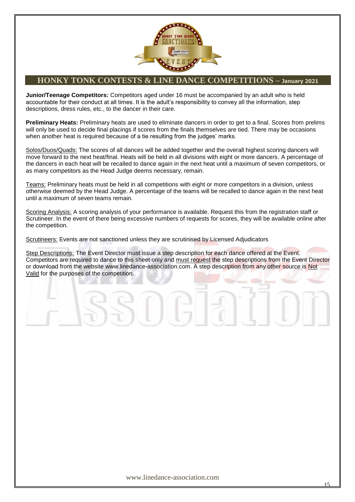

**Junior/Teenage Competitors:** Competitors aged under 16 must be accompanied by an adult who is held accountable for their conduct at all times. It is the adult's responsibility to convey all the information, step descriptions, dress rules, etc., to the dancer in their care.

**Preliminary Heats:** Preliminary heats are used to eliminate dancers in order to get to a final. Scores from prelims will only be used to decide final placings if scores from the finals themselves are tied. There may be occasions when another heat is required because of a tie resulting from the judges' marks.

Solos/Duos/Quads: The scores of all dances will be added together and the overall highest scoring dancers will move forward to the next heat/final. Heats will be held in all divisions with eight or more dancers. A percentage of the dancers in each heat will be recalled to dance again in the next heat until a maximum of seven competitors, or as many competitors as the Head Judge deems necessary, remain.

Teams: Preliminary heats must be held in all competitions with eight or more competitors in a division, unless otherwise deemed by the Head Judge. A percentage of the teams will be recalled to dance again in the next heat until a maximum of seven teams remain.

Scoring Analysis: A scoring analysis of your performance is available. Request this from the registration staff or Scrutineer. In the event of there being excessive numbers of requests for scores, they will be available online after the competition.

Scrutineers: Events are not sanctioned unless they are scrutinised by Licensed Adjudicators

Step Descriptions: The Event Director must issue a step description for each dance offered at the Event. Competitors are required to dance to this sheet only and must request the step descriptions from the Event Director or download from the website www.linedance-association.com. A step description from any other source is Not Valid for the purposes of the competition.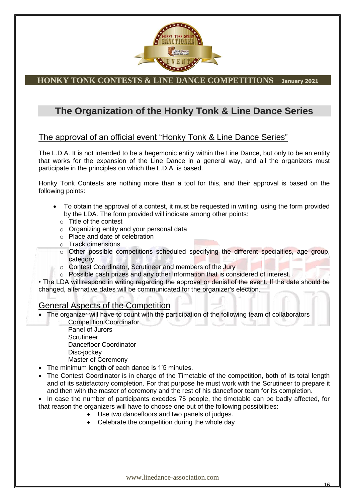

### **The Organization of the Honky Tonk & Line Dance Series**

### The approval of an official event "Honky Tonk & Line Dance Series"

The L.D.A. It is not intended to be a hegemonic entity within the Line Dance, but only to be an entity that works for the expansion of the Line Dance in a general way, and all the organizers must participate in the principles on which the L.D.A. is based.

Honky Tonk Contests are nothing more than a tool for this, and their approval is based on the following points:

- To obtain the approval of a contest, it must be requested in writing, using the form provided by the LDA. The form provided will indicate among other points:
	- o Title of the contest
	- o Organizing entity and your personal data
	- o Place and date of celebration
	- o Track dimensions
	- o Other possible competitions scheduled specifying the different specialties, age group, category.
	- o Contest Coordinator, Scrutineer and members of the Jury
	- o Possible cash prizes and any other information that is considered of interest.

• The LDA will respond in writing regarding the approval or denial of the event. If the date should be changed, alternative dates will be communicated for the organizer's election.

### General Aspects of the Competition

- The organizer will have to count with the participation of the following team of collaborators
	- Competition Coordinator Panel of Jurors Scrutineer Dancefloor Coordinator Disc-jockey Master of Ceremony
- The minimum length of each dance is 1"5 minutes.
- The Contest Coordinator is in charge of the Timetable of the competition, both of its total length and of its satisfactory completion. For that purpose he must work with the Scrutineer to prepare it and then with the master of ceremony and the rest of his dancefloor team for its completion.
- In case the number of participants excedes 75 people, the timetable can be badly affected, for that reason the organizers will have to choose one out of the following possibilities:
	- Use two dancefloors and two panels of judges.
	- Celebrate the competition during the whole day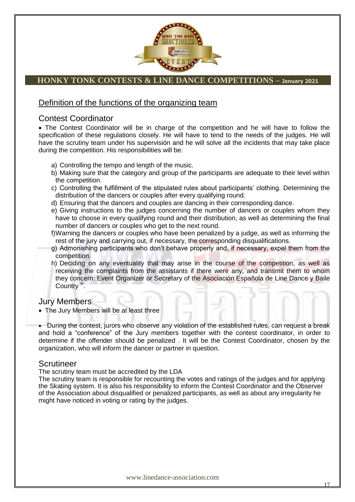

### Definition of the functions of the organizing team

### Contest Coordinator

 The Contest Coordinator will be in charge of the competition and he will have to follow the specification of these regulations closely. He will have to tend to the needs of the judges. He will have the scrutiny team under his supervisión and he will solve all the incidents that may take place during the competition. His responsibilities will be:

- a) Controlling the tempo and length of the music.
- b) Making sure that the category and group of the participants are adequate to their level within the competition.
- c) Controlling the fulfillment of the stipulated rules about participants" clothing. Determining the distribution of the dancers or couples after every qualifying round.
- d) Ensuring that the dancers and couples are dancing in their corresponding dance.
- e) Giving instructions to the judges concerning the number of dancers or couples whom they have to choose in every qualifying round and their distribution, as well as determining the final number of dancers or couples who get to the next round.
- f)Warning the dancers or couples who have been penalized by a judge, as well as informing the rest of the jury and carrying out, if necessary, the corresponding disqualifications.
- g) Admonishing participants who don"t behave properly and, if necessary, expel them from the competition.
- h) Deciding on any eventuality that may arise in the course of the competition, as well as receiving the complaints from the assistants if there were any, and transmit them to whom they concern: Event Organizer or Secretary of the Asociación Española de Line Dance y Baile Country ® .

### Jury Members

The Jury Members will be at least three

 During the contest, jurors who observe any violation of the established rules, can request a break and hold a "conference" of the Jury members together with the contest coordinator, in order to determine if the offender should be penalized . It will be the Contest Coordinator, chosen by the organization, who will inform the dancer or partner in question.

### Scrutineer

The scrutiny team must be accredited by the LDA

The scrutiny team is responsible for recounting the votes and ratings of the judges and for applying the Skating system. It is also his responsibility to inform the Contest Coordinator and the Observer of the Association about disqualified or penalized participants, as well as about any irregularity he might have noticed in voting or rating by the judges.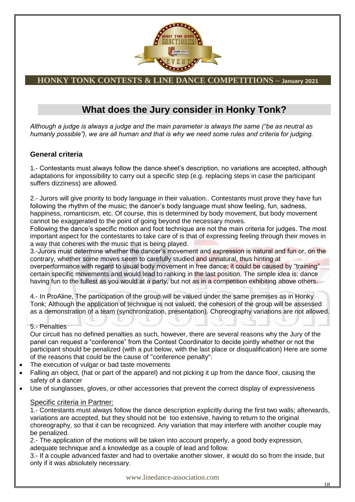

### **What does the Jury consider in Honky Tonk?**

*Although a judge is always a judge and the main parameter is always the same ("be as neutral as humanly possible"), we are all human and that is why we need some rules and criteria for judging.*

### **General criteria**

1.- Contestants must always follow the dance sheet"s description, no variations are accepted, although adaptations for impossibility to carry out a specific step (e.g. replacing steps in case the participant suffers dizziness) are allowed.

2.- Jurors will give priority to body language in their valuation.. Contestants must prove they have fun following the rhythm of the music; the dancer's body language must show feeling, fun, sadness, happiness, romanticism, etc. Of course, this is determined by body movement, but body movement cannot be exaggerated to the point of going beyond the necessary moves.

Following the dance's specific motion and foot technique are not the main criteria for judges. The most important aspect for the contestants to take care of is that of expressing feeling through their moves in a way that coheres with the music that is being played.

3.-Jurors must determine whether the dancer"s movement and expression is natural and fun or, on the contrary, whether some moves seem to carefully studied and unnatural, thus hinting at overperformance with regard to usual body movement in free dance; it could be caused by "training" certain specific movements and would lead to ranking in the last position. The simple idea is: dance having fun to the fullest as you would at a party, but not as in a competition exhibiting above others.

4.- In ProAline, The participation of the group will be valued under the same premises as in Honky Tonk; Although the application of technique is not valued, the cohesion of the group will be assessed as a demonstration of a team (synchronization, presentation). Choreography variations are not allowed.

5.- Penalties

Our circuit has no defined penalties as such, however, there are several reasons why the Jury of the panel can request a "conference" from the Contest Coordinator to decide jointly whether or not the participant should be penalized (with a put below, with the last place or disqualification) Here are some of the reasons that could be the cause of "conference penalty":

- The execution of vulgar or bad taste movements
- Falling an object, (hat or part of the apparel) and not picking it up from the dance floor, causing the safety of a dancer
- Use of sunglasses, gloves, or other accessories that prevent the correct display of expressiveness

### Specific criteria in Partner:

1.- Contestants must always follow the dance description explicitly during the first two walls; afterwards, variations are accepted, but they should not be too extensive, having to return to the original choreography, so that it can be recognized. Any variation that may interfere with another couple may be penalized.

2.- The application of the motions will be taken into account properly, a good body expression, adequate technique and a knowledge as a couple of lead and follow.

3.- If a couple advanced faster and had to overtake another slower, it would do so from the inside, but only if it was absolutely necessary.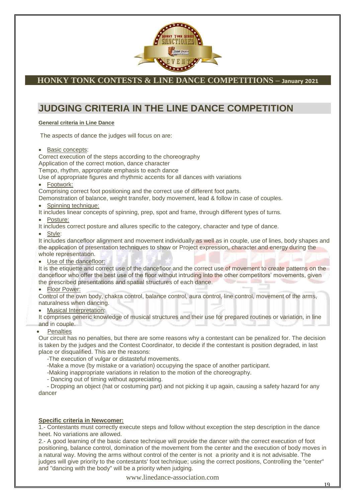

### **JUDGING CRITERIA IN THE LINE DANCE COMPETITION**

#### **General criteria in Line Dance**

The aspects of dance the judges will focus on are:

• Basic concepts:

Correct execution of the steps according to the choreography Application of the correct motion, dance character

Tempo, rhythm, appropriate emphasis to each dance

Use of appropriate figures and rhythmic accents for all dances with variations

• Footwork:

Comprising correct foot positioning and the correct use of different foot parts.

Demonstration of balance, weight transfer, body movement, lead & follow in case of couples.

Spinning technique:

It includes linear concepts of spinning, prep, spot and frame, through different types of turns.

Posture:

It includes correct posture and allures specific to the category, character and type of dance.

Style:

It includes dancefloor alignment and movement individually as well as in couple, use of lines, body shapes and the application of presentation techniques to show or Project expression, character and energy during the whole representation.

Use of the dancefloor:

It is the etiquette and correct use of the dancefloor and the correct use of movement to create patterns on the dancefloor who offer the best use of the floor without intruding into the other competitors' movements, given the prescribed presentations and spatial structures of each dance.

#### • Floor Power:

Control of the own body, chakra control, balance control, aura control, line control, movement of the arms, naturalness when dancing.

Musical Interpretation:

It comprises generic knowledge of musical structures and their use for prepared routines or variation, in line and in couple.

#### **Penalties**

Our circuit has no penalties, but there are some reasons why a contestant can be penalized for. The decision is taken by the judges and the Contest Coordinator, to decide if the contestant is position degraded, in last place or disqualified. This are the reasons:

-The execution of vulgar or distasteful movements.

-Make a move (by mistake or a variation) occupying the space of another participant.

-Making inappropriate variations in relation to the motion of the choreography.

- Dancing out of timing without appreciating.

- Dropping an object (hat or costuming part) and not picking it up again, causing a safety hazard for any dancer

#### **Specific criteria in Newcomer:**

1.- Contestants must correctly execute steps and follow without exception the step description in the dance heet. No variations are allowed.

2.- A good learning of the basic dance technique will provide the dancer with the correct execution of foot positioning, balance control, domination of the movement from the center and the execution of body moves in a natural way. Moving the arms without control of the center is not a priority and it is not advisable. The judges will give priority to the contestants' foot technique; using the correct positions, Controlling the "center" and "dancing with the body" will be a priority when judging.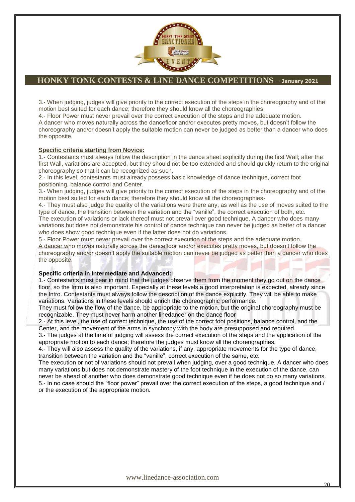

3.- When judging, judges will give priority to the correct execution of the steps in the choreography and of the motion best suited for each dance; therefore they should know all the choreographies.

4.- Floor Power must never prevail over the correct execution of the steps and the adequate motion. A dancer who moves naturally across the dancefloor and/or executes pretty moves, but doesn"t follow the choreography and/or doesn"t apply the suitable motion can never be judged as better than a dancer who does the opposite.

#### **Specific criteria starting from Novice:**

1.- Contestants must always follow the description in the dance sheet explicitly during the first Wall; after the first Wall, variations are accepted, but they should not be too extended and should quickly return to the original choreography so that it can be recognized as such.

2.- In this level, contestants must already possess basic knowledge of dance technique, correct foot positioning, balance control and Center.

3.- When judging, judges will give priority to the correct execution of the steps in the choreography and of the motion best suited for each dance; therefore they should know all the choreographies-

4.- They must also judge the quality of the variations were there any, as well as the use of moves suited to the type of dance, the transition between the variation and the "vanille", the correct execution of both, etc.

The execution of variations or lack thereof must not prevail over good technique. A dancer who does many variations but does not demonstrate his control of dance technique can never be judged as better of a dancer who does show good technique even if the latter does not do variations.

5.- Floor Power must never prevail over the correct execution of the steps and the adequate motion. A dancer who moves naturally across the dancefloor and/or executes pretty moves, but doesn"t follow the choreography and/or doesn"t apply the suitable motion can never be judged as better than a dancer who does the opposite.

#### **Specific criteria in Intermediate and Advanced:**

1.- Contestants must bear in mind that the judges observe them from the moment they go out on the dance floor, so the Intro is also important. Especially at these levels a good interpretation is expected, already since the Intro. Contestants must always follow the description of the dance explicitly. They will be able to make variations. Variations in these levels should enrich the choreographic performance.

They must follow the flow of the dance, be appropriate to the motion, but the original choreography must be recognizable. They must never harm another linedancer on the dance floor

2.- At this level, the use of correct technique, the use of the correct foot positions, balance control, and the Center, and the movement of the arms in synchrony with the body are presupposed and required.

3.- The judges at the time of judging will assess the correct execution of the steps and the application of the appropriate motion to each dance; therefore the judges must know all the choreographies.

4.- They will also assess the quality of the variations, if any, appropriate movements for the type of dance, transition between the variation and the "vanille", correct execution of the same, etc.

The execution or not of variations should not prevail when judging, over a good technique. A dancer who does many variations but does not demonstrate mastery of the foot technique in the execution of the dance, can never be ahead of another who does demonstrate good technique even if he does not do so many variations. 5.- In no case should the "floor power" prevail over the correct execution of the steps, a good technique and / or the execution of the appropriate motion.